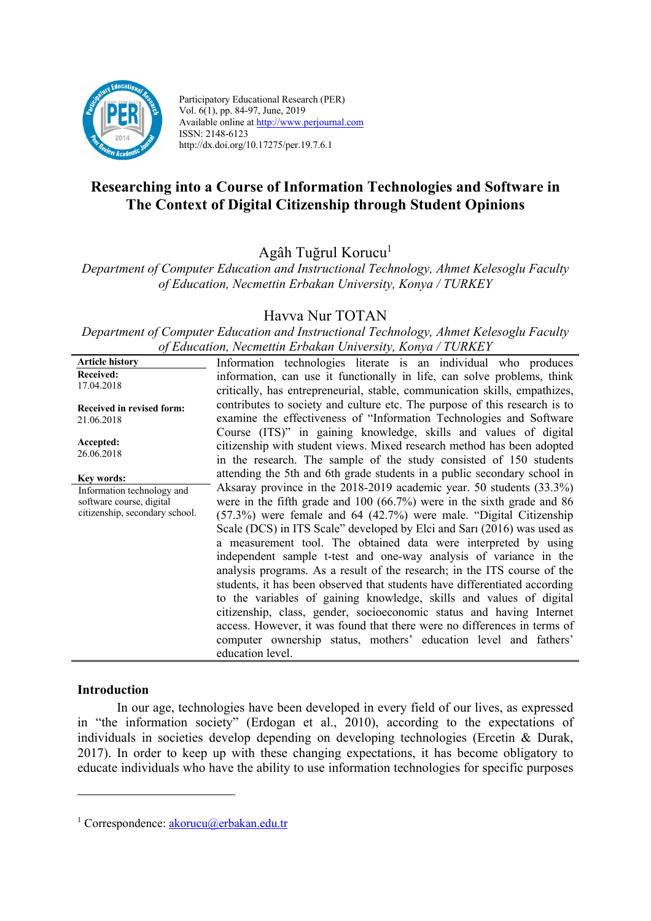

Participatory Educational Research (PER) Vol. 6(1), pp. 84-97, June, 2019 Available online at http://www.perjournal.com ISSN: 2148-6123 http://dx.doi.org/10.17275/per.19.7.6.1

# **Researching into a Course of Information Technologies and Software in The Context of Digital Citizenship through Student Opinions**

Agâh Tuğrul Korucu<sup>1</sup>

*Department of Computer Education and Instructional Technology, Ahmet Kelesoglu Faculty of Education, Necmettin Erbakan University, Konya / TURKEY*

# Havva Nur TOTAN

*Department of Computer Education and Instructional Technology, Ahmet Kelesoglu Faculty of Education, Necmettin Erbakan University, Konya / TURKEY*

| <b>Received:</b><br>17.04.2018<br>contributes to society and culture etc. The purpose of this research is to<br>Received in revised form:<br>examine the effectiveness of "Information Technologies and Software<br>21.06.2018<br>Course (ITS)" in gaining knowledge, skills and values of digital<br>Accepted:<br>citizenship with student views. Mixed research method has been adopted<br>26.06.2018<br>in the research. The sample of the study consisted of 150 students<br>attending the 5th and 6th grade students in a public secondary school in<br>Key words:<br>Aksaray province in the 2018-2019 academic year. 50 students (33.3%)<br>Information technology and<br>were in the fifth grade and $100 (66.7%)$ were in the sixth grade and 86<br>software course, digital<br>citizenship, secondary school.<br>$(57.3%)$ were female and 64 $(42.7%)$ were male. "Digital Citizenship<br>Scale (DCS) in ITS Scale" developed by Elci and Sari (2016) was used as<br>a measurement tool. The obtained data were interpreted by using<br>independent sample t-test and one-way analysis of variance in the<br>analysis programs. As a result of the research; in the ITS course of the<br>students, it has been observed that students have differentiated according<br>citizenship, class, gender, socioeconomic status and having Internet | <b>Article history</b> | Information technologies literate is an individual who produces            |
|--------------------------------------------------------------------------------------------------------------------------------------------------------------------------------------------------------------------------------------------------------------------------------------------------------------------------------------------------------------------------------------------------------------------------------------------------------------------------------------------------------------------------------------------------------------------------------------------------------------------------------------------------------------------------------------------------------------------------------------------------------------------------------------------------------------------------------------------------------------------------------------------------------------------------------------------------------------------------------------------------------------------------------------------------------------------------------------------------------------------------------------------------------------------------------------------------------------------------------------------------------------------------------------------------------------------------------------------------------|------------------------|----------------------------------------------------------------------------|
|                                                                                                                                                                                                                                                                                                                                                                                                                                                                                                                                                                                                                                                                                                                                                                                                                                                                                                                                                                                                                                                                                                                                                                                                                                                                                                                                                        |                        | information, can use it functionally in life, can solve problems, think    |
|                                                                                                                                                                                                                                                                                                                                                                                                                                                                                                                                                                                                                                                                                                                                                                                                                                                                                                                                                                                                                                                                                                                                                                                                                                                                                                                                                        |                        | critically, has entrepreneurial, stable, communication skills, empathizes, |
|                                                                                                                                                                                                                                                                                                                                                                                                                                                                                                                                                                                                                                                                                                                                                                                                                                                                                                                                                                                                                                                                                                                                                                                                                                                                                                                                                        |                        |                                                                            |
|                                                                                                                                                                                                                                                                                                                                                                                                                                                                                                                                                                                                                                                                                                                                                                                                                                                                                                                                                                                                                                                                                                                                                                                                                                                                                                                                                        |                        |                                                                            |
|                                                                                                                                                                                                                                                                                                                                                                                                                                                                                                                                                                                                                                                                                                                                                                                                                                                                                                                                                                                                                                                                                                                                                                                                                                                                                                                                                        |                        |                                                                            |
|                                                                                                                                                                                                                                                                                                                                                                                                                                                                                                                                                                                                                                                                                                                                                                                                                                                                                                                                                                                                                                                                                                                                                                                                                                                                                                                                                        |                        |                                                                            |
|                                                                                                                                                                                                                                                                                                                                                                                                                                                                                                                                                                                                                                                                                                                                                                                                                                                                                                                                                                                                                                                                                                                                                                                                                                                                                                                                                        |                        |                                                                            |
|                                                                                                                                                                                                                                                                                                                                                                                                                                                                                                                                                                                                                                                                                                                                                                                                                                                                                                                                                                                                                                                                                                                                                                                                                                                                                                                                                        |                        |                                                                            |
|                                                                                                                                                                                                                                                                                                                                                                                                                                                                                                                                                                                                                                                                                                                                                                                                                                                                                                                                                                                                                                                                                                                                                                                                                                                                                                                                                        |                        |                                                                            |
|                                                                                                                                                                                                                                                                                                                                                                                                                                                                                                                                                                                                                                                                                                                                                                                                                                                                                                                                                                                                                                                                                                                                                                                                                                                                                                                                                        |                        |                                                                            |
|                                                                                                                                                                                                                                                                                                                                                                                                                                                                                                                                                                                                                                                                                                                                                                                                                                                                                                                                                                                                                                                                                                                                                                                                                                                                                                                                                        |                        |                                                                            |
|                                                                                                                                                                                                                                                                                                                                                                                                                                                                                                                                                                                                                                                                                                                                                                                                                                                                                                                                                                                                                                                                                                                                                                                                                                                                                                                                                        |                        |                                                                            |
|                                                                                                                                                                                                                                                                                                                                                                                                                                                                                                                                                                                                                                                                                                                                                                                                                                                                                                                                                                                                                                                                                                                                                                                                                                                                                                                                                        |                        |                                                                            |
|                                                                                                                                                                                                                                                                                                                                                                                                                                                                                                                                                                                                                                                                                                                                                                                                                                                                                                                                                                                                                                                                                                                                                                                                                                                                                                                                                        |                        | to the variables of gaining knowledge, skills and values of digital        |
|                                                                                                                                                                                                                                                                                                                                                                                                                                                                                                                                                                                                                                                                                                                                                                                                                                                                                                                                                                                                                                                                                                                                                                                                                                                                                                                                                        |                        |                                                                            |
|                                                                                                                                                                                                                                                                                                                                                                                                                                                                                                                                                                                                                                                                                                                                                                                                                                                                                                                                                                                                                                                                                                                                                                                                                                                                                                                                                        |                        | access. However, it was found that there were no differences in terms of   |
| computer ownership status, mothers' education level and fathers'<br>education level.                                                                                                                                                                                                                                                                                                                                                                                                                                                                                                                                                                                                                                                                                                                                                                                                                                                                                                                                                                                                                                                                                                                                                                                                                                                                   |                        |                                                                            |

#### **Introduction**

 $\overline{a}$ 

In our age, technologies have been developed in every field of our lives, as expressed in "the information society" (Erdogan et al., 2010), according to the expectations of individuals in societies develop depending on developing technologies (Ercetin & Durak, 2017). In order to keep up with these changing expectations, it has become obligatory to educate individuals who have the ability to use information technologies for specific purposes

<sup>&</sup>lt;sup>1</sup> Correspondence:  $akorucu@erbakan.edu.tr$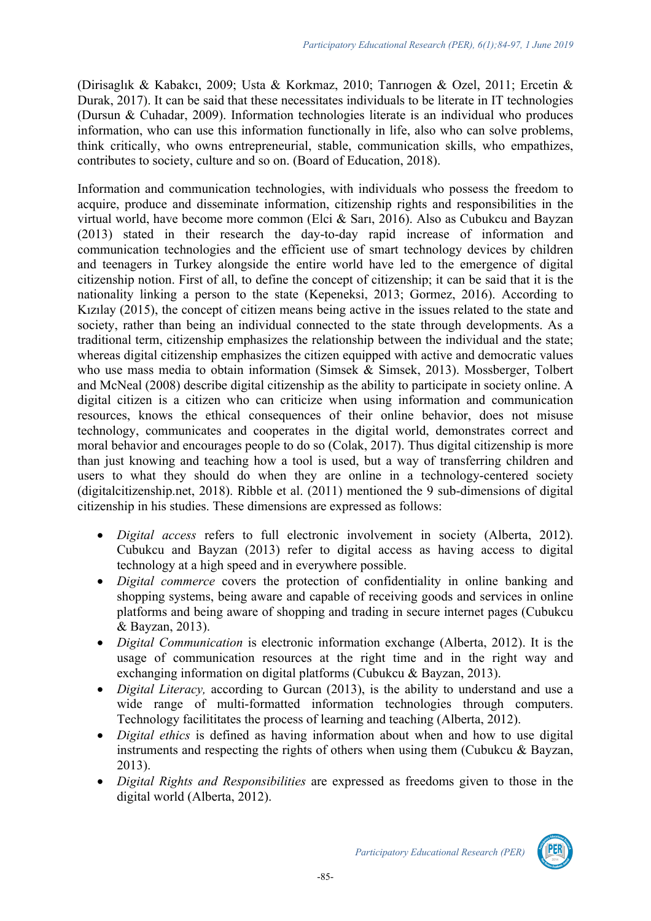(Dirisaglık & Kabakcı, 2009; Usta & Korkmaz, 2010; Tanrıogen & Ozel, 2011; Ercetin & Durak, 2017). It can be said that these necessitates individuals to be literate in IT technologies (Dursun & Cuhadar, 2009). Information technologies literate is an individual who produces information, who can use this information functionally in life, also who can solve problems, think critically, who owns entrepreneurial, stable, communication skills, who empathizes, contributes to society, culture and so on. (Board of Education, 2018).

Information and communication technologies, with individuals who possess the freedom to acquire, produce and disseminate information, citizenship rights and responsibilities in the virtual world, have become more common (Elci & Sarı, 2016). Also as Cubukcu and Bayzan (2013) stated in their research the day-to-day rapid increase of information and communication technologies and the efficient use of smart technology devices by children and teenagers in Turkey alongside the entire world have led to the emergence of digital citizenship notion. First of all, to define the concept of citizenship; it can be said that it is the nationality linking a person to the state (Kepeneksi, 2013; Gormez, 2016). According to Kızılay (2015), the concept of citizen means being active in the issues related to the state and society, rather than being an individual connected to the state through developments. As a traditional term, citizenship emphasizes the relationship between the individual and the state; whereas digital citizenship emphasizes the citizen equipped with active and democratic values who use mass media to obtain information (Simsek & Simsek, 2013). Mossberger, Tolbert and McNeal (2008) describe digital citizenship as the ability to participate in society online. A digital citizen is a citizen who can criticize when using information and communication resources, knows the ethical consequences of their online behavior, does not misuse technology, communicates and cooperates in the digital world, demonstrates correct and moral behavior and encourages people to do so (Colak, 2017). Thus digital citizenship is more than just knowing and teaching how a tool is used, but a way of transferring children and users to what they should do when they are online in a technology-centered society (digitalcitizenship.net, 2018). Ribble et al. (2011) mentioned the 9 sub-dimensions of digital citizenship in his studies. These dimensions are expressed as follows:

- *Digital access* refers to full electronic involvement in society (Alberta, 2012). Cubukcu and Bayzan (2013) refer to digital access as having access to digital technology at a high speed and in everywhere possible.
- *Digital commerce* covers the protection of confidentiality in online banking and shopping systems, being aware and capable of receiving goods and services in online platforms and being aware of shopping and trading in secure internet pages (Cubukcu & Bayzan, 2013).
- *Digital Communication* is electronic information exchange (Alberta, 2012). It is the usage of communication resources at the right time and in the right way and exchanging information on digital platforms (Cubukcu & Bayzan, 2013).
- *Digital Literacy,* according to Gurcan (2013), is the ability to understand and use a wide range of multi-formatted information technologies through computers. Technology facilititates the process of learning and teaching (Alberta, 2012).
- *Digital ethics* is defined as having information about when and how to use digital instruments and respecting the rights of others when using them (Cubukcu & Bayzan, 2013).
- *Digital Rights and Responsibilities* are expressed as freedoms given to those in the digital world (Alberta, 2012).

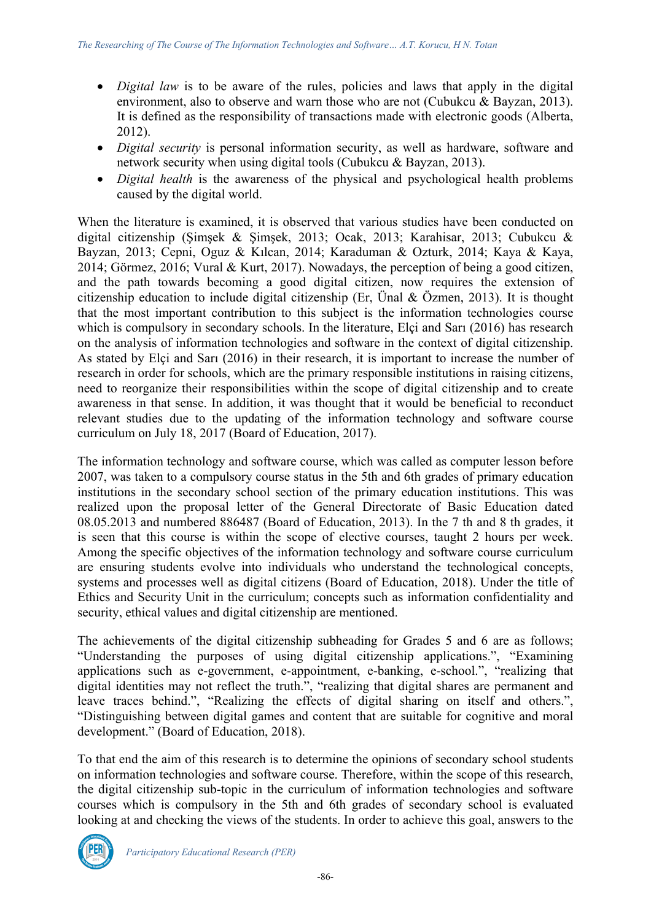- *Digital law* is to be aware of the rules, policies and laws that apply in the digital environment, also to observe and warn those who are not (Cubukcu & Bayzan, 2013). It is defined as the responsibility of transactions made with electronic goods (Alberta, 2012).
- *Digital security* is personal information security, as well as hardware, software and network security when using digital tools (Cubukcu & Bayzan, 2013).
- *Digital health* is the awareness of the physical and psychological health problems caused by the digital world.

When the literature is examined, it is observed that various studies have been conducted on digital citizenship (Şimşek & Şimşek, 2013; Ocak, 2013; Karahisar, 2013; Cubukcu & Bayzan, 2013; Cepni, Oguz & Kılcan, 2014; Karaduman & Ozturk, 2014; Kaya & Kaya, 2014; Görmez, 2016; Vural & Kurt, 2017). Nowadays, the perception of being a good citizen, and the path towards becoming a good digital citizen, now requires the extension of citizenship education to include digital citizenship (Er, Ünal & Özmen, 2013). It is thought that the most important contribution to this subject is the information technologies course which is compulsory in secondary schools. In the literature, Elçi and Sari (2016) has research on the analysis of information technologies and software in the context of digital citizenship. As stated by Elçi and Sarı (2016) in their research, it is important to increase the number of research in order for schools, which are the primary responsible institutions in raising citizens, need to reorganize their responsibilities within the scope of digital citizenship and to create awareness in that sense. In addition, it was thought that it would be beneficial to reconduct relevant studies due to the updating of the information technology and software course curriculum on July 18, 2017 (Board of Education, 2017).

The information technology and software course, which was called as computer lesson before 2007, was taken to a compulsory course status in the 5th and 6th grades of primary education institutions in the secondary school section of the primary education institutions. This was realized upon the proposal letter of the General Directorate of Basic Education dated 08.05.2013 and numbered 886487 (Board of Education, 2013). In the 7 th and 8 th grades, it is seen that this course is within the scope of elective courses, taught 2 hours per week. Among the specific objectives of the information technology and software course curriculum are ensuring students evolve into individuals who understand the technological concepts, systems and processes well as digital citizens (Board of Education, 2018). Under the title of Ethics and Security Unit in the curriculum; concepts such as information confidentiality and security, ethical values and digital citizenship are mentioned.

The achievements of the digital citizenship subheading for Grades 5 and 6 are as follows; "Understanding the purposes of using digital citizenship applications.", "Examining applications such as e-government, e-appointment, e-banking, e-school.", "realizing that digital identities may not reflect the truth.", "realizing that digital shares are permanent and leave traces behind.", "Realizing the effects of digital sharing on itself and others.", "Distinguishing between digital games and content that are suitable for cognitive and moral development." (Board of Education, 2018).

To that end the aim of this research is to determine the opinions of secondary school students on information technologies and software course. Therefore, within the scope of this research, the digital citizenship sub-topic in the curriculum of information technologies and software courses which is compulsory in the 5th and 6th grades of secondary school is evaluated looking at and checking the views of the students. In order to achieve this goal, answers to the

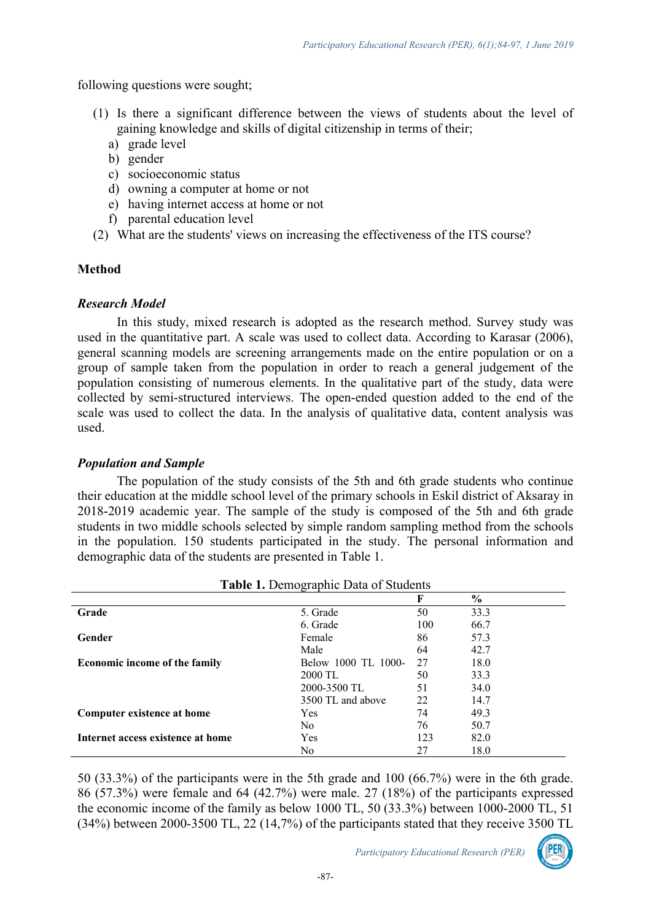following questions were sought;

- (1) Is there a significant difference between the views of students about the level of gaining knowledge and skills of digital citizenship in terms of their;
	- a) grade level
	- b) gender
	- c) socioeconomic status
	- d) owning a computer at home or not
	- e) having internet access at home or not
	- f) parental education level
- (2) What are the students' views on increasing the effectiveness of the ITS course?

# **Method**

# *Research Model*

In this study, mixed research is adopted as the research method. Survey study was used in the quantitative part. A scale was used to collect data. According to Karasar (2006), general scanning models are screening arrangements made on the entire population or on a group of sample taken from the population in order to reach a general judgement of the population consisting of numerous elements. In the qualitative part of the study, data were collected by semi-structured interviews. The open-ended question added to the end of the scale was used to collect the data. In the analysis of qualitative data, content analysis was used.

# *Population and Sample*

The population of the study consists of the 5th and 6th grade students who continue their education at the middle school level of the primary schools in Eskil district of Aksaray in 2018-2019 academic year. The sample of the study is composed of the 5th and 6th grade students in two middle schools selected by simple random sampling method from the schools in the population. 150 students participated in the study. The personal information and demographic data of the students are presented in Table 1.

| Table 1. Demographic Data of Students |                     |     |               |  |  |  |  |
|---------------------------------------|---------------------|-----|---------------|--|--|--|--|
|                                       |                     | F   | $\frac{6}{6}$ |  |  |  |  |
| Grade                                 | 5. Grade            | 50  | 33.3          |  |  |  |  |
|                                       | 6. Grade            | 100 | 66.7          |  |  |  |  |
| Gender                                | Female              | 86  | 57.3          |  |  |  |  |
|                                       | Male                | 64  | 42.7          |  |  |  |  |
| <b>Economic income of the family</b>  | Below 1000 TL 1000- | 27  | 18.0          |  |  |  |  |
|                                       | 2000 TL             | 50  | 33.3          |  |  |  |  |
|                                       | 2000-3500 TL        | 51  | 34.0          |  |  |  |  |
|                                       | 3500 TL and above   | 22  | 14.7          |  |  |  |  |
| Computer existence at home            | Yes                 | 74  | 49.3          |  |  |  |  |
|                                       | No.                 | 76  | 50.7          |  |  |  |  |
| Internet access existence at home     | Yes                 | 123 | 82.0          |  |  |  |  |
|                                       | No                  | 27  | 18.0          |  |  |  |  |

50 (33.3%) of the participants were in the 5th grade and 100 (66.7%) were in the 6th grade. 86 (57.3%) were female and 64 (42.7%) were male. 27 (18%) of the participants expressed the economic income of the family as below 1000 TL, 50 (33.3%) between 1000-2000 TL, 51 (34%) between 2000-3500 TL, 22 (14,7%) of the participants stated that they receive 3500 TL

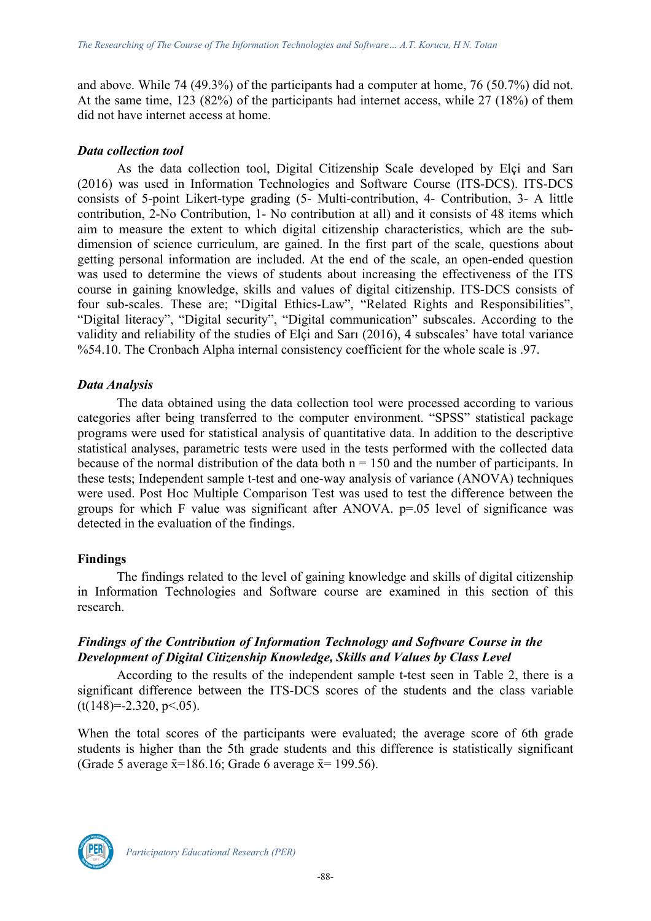and above. While 74 (49.3%) of the participants had a computer at home, 76 (50.7%) did not. At the same time, 123 (82%) of the participants had internet access, while 27 (18%) of them did not have internet access at home.

#### *Data collection tool*

As the data collection tool, Digital Citizenship Scale developed by Elçi and Sarı (2016) was used in Information Technologies and Software Course (ITS-DCS). ITS-DCS consists of 5-point Likert-type grading (5- Multi-contribution, 4- Contribution, 3- A little contribution, 2-No Contribution, 1- No contribution at all) and it consists of 48 items which aim to measure the extent to which digital citizenship characteristics, which are the subdimension of science curriculum, are gained. In the first part of the scale, questions about getting personal information are included. At the end of the scale, an open-ended question was used to determine the views of students about increasing the effectiveness of the ITS course in gaining knowledge, skills and values of digital citizenship. ITS-DCS consists of four sub-scales. These are; "Digital Ethics-Law", "Related Rights and Responsibilities", "Digital literacy", "Digital security", "Digital communication" subscales. According to the validity and reliability of the studies of Elçi and Sarı (2016), 4 subscales' have total variance %54.10. The Cronbach Alpha internal consistency coefficient for the whole scale is .97.

## *Data Analysis*

The data obtained using the data collection tool were processed according to various categories after being transferred to the computer environment. "SPSS" statistical package programs were used for statistical analysis of quantitative data. In addition to the descriptive statistical analyses, parametric tests were used in the tests performed with the collected data because of the normal distribution of the data both  $n = 150$  and the number of participants. In these tests; Independent sample t-test and one-way analysis of variance (ANOVA) techniques were used. Post Hoc Multiple Comparison Test was used to test the difference between the groups for which F value was significant after ANOVA. p=.05 level of significance was detected in the evaluation of the findings.

#### **Findings**

The findings related to the level of gaining knowledge and skills of digital citizenship in Information Technologies and Software course are examined in this section of this research.

# *Findings of the Contribution of Information Technology and Software Course in the Development of Digital Citizenship Knowledge, Skills and Values by Class Level*

According to the results of the independent sample t-test seen in Table 2, there is a significant difference between the ITS-DCS scores of the students and the class variable  $(t(148)=-2.320, p<.05)$ .

When the total scores of the participants were evaluated; the average score of 6th grade students is higher than the 5th grade students and this difference is statistically significant (Grade 5 average  $\bar{x}$ =186.16; Grade 6 average  $\bar{x}$ = 199.56).

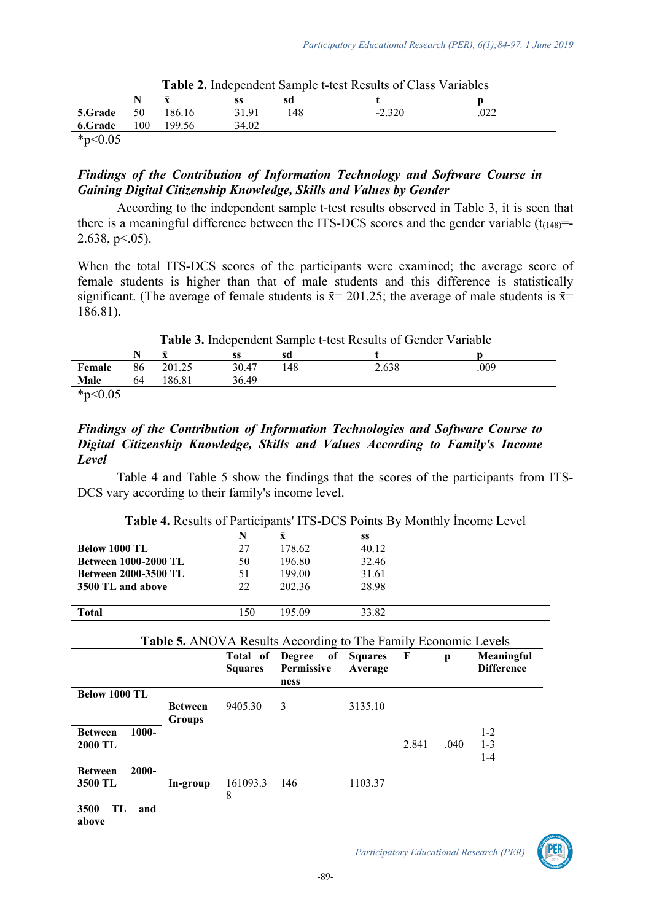|         |               |        |       |     | <b>I ADIV A</b> HIGODOIGOIN DAILIDIO C RODUIRDOIT O IMPO TAHAOIOD |             |  |
|---------|---------------|--------|-------|-----|-------------------------------------------------------------------|-------------|--|
|         |               |        | SS    | sd  |                                                                   |             |  |
| 5.Grade | 50            | 186.16 | 31 91 | 148 | $-2.320$                                                          | ∩ר∩<br>.v∠∠ |  |
| 6.Grade | $100^{\circ}$ | 199.56 | 34.02 |     |                                                                   |             |  |
|         |               |        |       |     |                                                                   |             |  |

**Table 2.** Independent Sample t-test Results of Class Variables

# *Findings of the Contribution of Information Technology and Software Course in Gaining Digital Citizenship Knowledge, Skills and Values by Gender*

According to the independent sample t-test results observed in Table 3, it is seen that there is a meaningful difference between the ITS-DCS scores and the gender variable  $(t_{(148)} = -1)$ 2.638, p<.05).

When the total ITS-DCS scores of the participants were examined; the average score of female students is higher than that of male students and this difference is statistically significant. (The average of female students is  $\bar{x}$  = 201.25; the average of male students is  $\bar{x}$  = 186.81).

**Table 3.** Independent Sample t-test Results of Gender Variable **N**  $\bar{\mathbf{x}}$  **ss sd t p** 

|            |    | $\overline{\phantom{0}}$ | SS    | sd  |       |      |
|------------|----|--------------------------|-------|-----|-------|------|
| Female     | 86 | 201.25                   | 30.47 | 148 | 2.638 | .009 |
| Male       | 64 | 186.81                   | 36.49 |     |       |      |
| * $p<0.05$ |    |                          |       |     |       |      |

## *Findings of the Contribution of Information Technologies and Software Course to Digital Citizenship Knowledge, Skills and Values According to Family's Income Level*

Table 4 and Table 5 show the findings that the scores of the participants from ITS-DCS vary according to their family's income level.

|                             | N   | v      | SS    |  |
|-----------------------------|-----|--------|-------|--|
| Below 1000 TL               | 27  | 178.62 | 40.12 |  |
| <b>Between 1000-2000 TL</b> | 50  | 196.80 | 32.46 |  |
| <b>Between 2000-3500 TL</b> | 51  | 199.00 | 31.61 |  |
| 3500 TL and above           | 22  | 202.36 | 28.98 |  |
|                             |     |        |       |  |
| <b>Total</b>                | 150 | 195.09 | 33.82 |  |
|                             |     |        |       |  |

**Table 4.** Results of Participants' ITS-DCS Points By Monthly İncome Level

| <b>Table 5.</b> ANOVA Results According to The Family Economic Levels |                          |                            |                                           |                           |       |      |                                 |  |
|-----------------------------------------------------------------------|--------------------------|----------------------------|-------------------------------------------|---------------------------|-------|------|---------------------------------|--|
|                                                                       |                          | Total of<br><b>Squares</b> | <b>Degree</b><br>of<br>Permissive<br>ness | <b>Squares</b><br>Average | F     | p    | Meaningful<br><b>Difference</b> |  |
| <b>Below 1000 TL</b>                                                  | <b>Between</b><br>Groups | 9405.30                    | 3                                         | 3135.10                   |       |      |                                 |  |
| 1000-<br><b>Between</b><br>2000 TL                                    |                          |                            |                                           |                           | 2.841 | .040 | $1 - 2$<br>$1 - 3$<br>$1 - 4$   |  |
| $2000 -$<br><b>Between</b><br>3500 TL                                 | In-group                 | 161093.3<br>8              | 146                                       | 1103.37                   |       |      |                                 |  |
| TL<br>3500<br>and<br>above                                            |                          |                            |                                           |                           |       |      |                                 |  |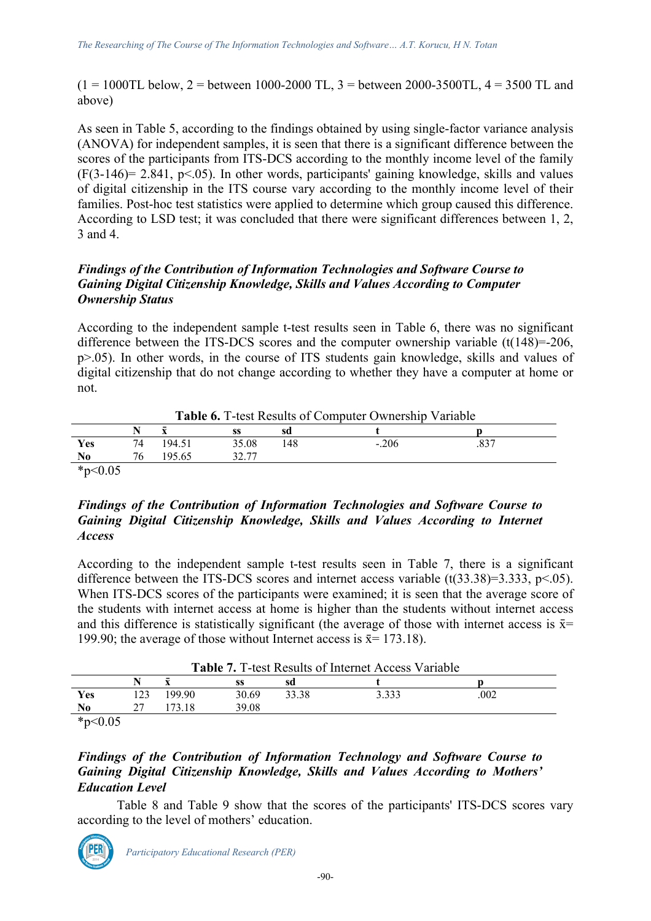$(1 = 1000 \text{TL}$  below,  $2 =$  between 1000-2000 TL,  $3 =$  between 2000-3500TL,  $4 = 3500$  TL and above)

As seen in Table 5, according to the findings obtained by using single-factor variance analysis (ANOVA) for independent samples, it is seen that there is a significant difference between the scores of the participants from ITS-DCS according to the monthly income level of the family  $(F(3-146)= 2.841, p<0.65)$ . In other words, participants' gaining knowledge, skills and values of digital citizenship in the ITS course vary according to the monthly income level of their families. Post-hoc test statistics were applied to determine which group caused this difference. According to LSD test; it was concluded that there were significant differences between 1, 2, 3 and 4.

# *Findings of the Contribution of Information Technologies and Software Course to Gaining Digital Citizenship Knowledge, Skills and Values According to Computer Ownership Status*

According to the independent sample t-test results seen in Table 6, there was no significant difference between the ITS-DCS scores and the computer ownership variable (t(148)=-206, p>.05). In other words, in the course of ITS students gain knowledge, skills and values of digital citizenship that do not change according to whether they have a computer at home or not.

| <b>Lable 6.</b> 1-test Results of Computer Ownership Variable |    |        |       |     |         |  |  |  |  |
|---------------------------------------------------------------|----|--------|-------|-----|---------|--|--|--|--|
|                                                               |    |        |       |     |         |  |  |  |  |
| Yes                                                           | 74 | 194.51 | 35.08 | 148 | $-.206$ |  |  |  |  |
| N <sub>0</sub>                                                |    | 195.65 |       |     |         |  |  |  |  |
| $*_{\mathbf{p}}$ $\wedge$ $\wedge$ $\wedge$                   |    |        |       |     |         |  |  |  |  |

**Table 6.** T-test Results of Computer Ownership Variable

\*p<0.05

## *Findings of the Contribution of Information Technologies and Software Course to Gaining Digital Citizenship Knowledge, Skills and Values According to Internet Access*

According to the independent sample t-test results seen in Table 7, there is a significant difference between the ITS-DCS scores and internet access variable  $(t(33.38)=3.333, p<.05)$ . When ITS-DCS scores of the participants were examined; it is seen that the average score of the students with internet access at home is higher than the students without internet access and this difference is statistically significant (the average of those with internet access is  $\bar{x}$ = 199.90; the average of those without Internet access is  $\bar{x}$  = 173.18).

|               |     |        |       |       | <b>Table 7.</b> T-test Results of Internet Access Variable |      |  |
|---------------|-----|--------|-------|-------|------------------------------------------------------------|------|--|
|               | N   |        |       | sd    |                                                            |      |  |
| Yes           | 123 | 199.90 | 30.69 | 33.38 | 3.333                                                      | .002 |  |
| No.           |     |        | 39.08 |       |                                                            |      |  |
| *n $\lt$ 0.05 |     |        |       |       |                                                            |      |  |

\*p<0.05

## *Findings of the Contribution of Information Technology and Software Course to Gaining Digital Citizenship Knowledge, Skills and Values According to Mothers' Education Level*

Table 8 and Table 9 show that the scores of the participants' ITS-DCS scores vary according to the level of mothers' education.

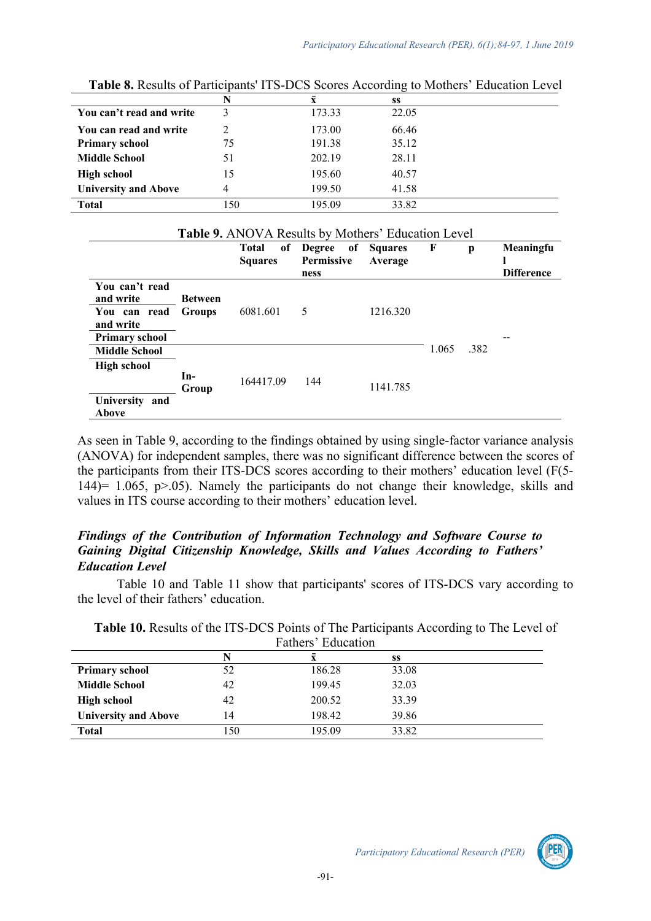|                             | $\overline{\phantom{a}}$<br>N | $\bar{\mathbf{x}}$ | SS    |
|-----------------------------|-------------------------------|--------------------|-------|
| You can't read and write    | ζ                             | 173.33             | 22.05 |
| You can read and write      |                               | 173.00             | 66.46 |
| <b>Primary school</b>       | 75                            | 191.38             | 35.12 |
| <b>Middle School</b>        | 51                            | 202.19             | 28.11 |
| <b>High school</b>          | 15                            | 195.60             | 40.57 |
| <b>University and Above</b> | 4                             | 199.50             | 41.58 |
| <b>Total</b>                | 150                           | 195.09             | 33.82 |

**Table 8.** Results of Participants' ITS-DCS Scores According to Mothers' Education Level

|                                        |                |                         | Table 9. ANOVA Results by Mothers' Education Level |          |       |      |                                |
|----------------------------------------|----------------|-------------------------|----------------------------------------------------|----------|-------|------|--------------------------------|
|                                        |                | Total<br><b>Squares</b> | of Degree of Squares<br>Permissive<br>ness         | Average  | F     | p    | Meaningfu<br><b>Difference</b> |
| You can't read<br>and write            | <b>Between</b> |                         |                                                    |          |       |      |                                |
| You can read<br>and write              | <b>Groups</b>  | 6081.601                | 5                                                  | 1216.320 |       |      |                                |
| <b>Primary school</b>                  |                |                         |                                                    |          |       |      |                                |
| <b>Middle School</b>                   |                |                         |                                                    |          | 1.065 | .382 |                                |
| High school<br>University and<br>Above | In-<br>Group   | 164417.09               | 144                                                | 1141.785 |       |      |                                |

As seen in Table 9, according to the findings obtained by using single-factor variance analysis (ANOVA) for independent samples, there was no significant difference between the scores of the participants from their ITS-DCS scores according to their mothers' education level (F(5- 144)= 1.065, p>.05). Namely the participants do not change their knowledge, skills and values in ITS course according to their mothers' education level.

# *Findings of the Contribution of Information Technology and Software Course to Gaining Digital Citizenship Knowledge, Skills and Values According to Fathers' Education Level*

Table 10 and Table 11 show that participants' scores of ITS-DCS vary according to the level of their fathers' education.

|                             |     | Fathers' Education |       |  |
|-----------------------------|-----|--------------------|-------|--|
|                             | N   | X                  | SS    |  |
| <b>Primary school</b>       | 52  | 186.28             | 33.08 |  |
| <b>Middle School</b>        | 42  | 199.45             | 32.03 |  |
| <b>High school</b>          | 42  | 200.52             | 33.39 |  |
| <b>University and Above</b> | 14  | 198.42             | 39.86 |  |
| <b>Total</b>                | 150 | 195.09             | 33.82 |  |

**Table 10.** Results of the ITS-DCS Points of The Participants According to The Level of

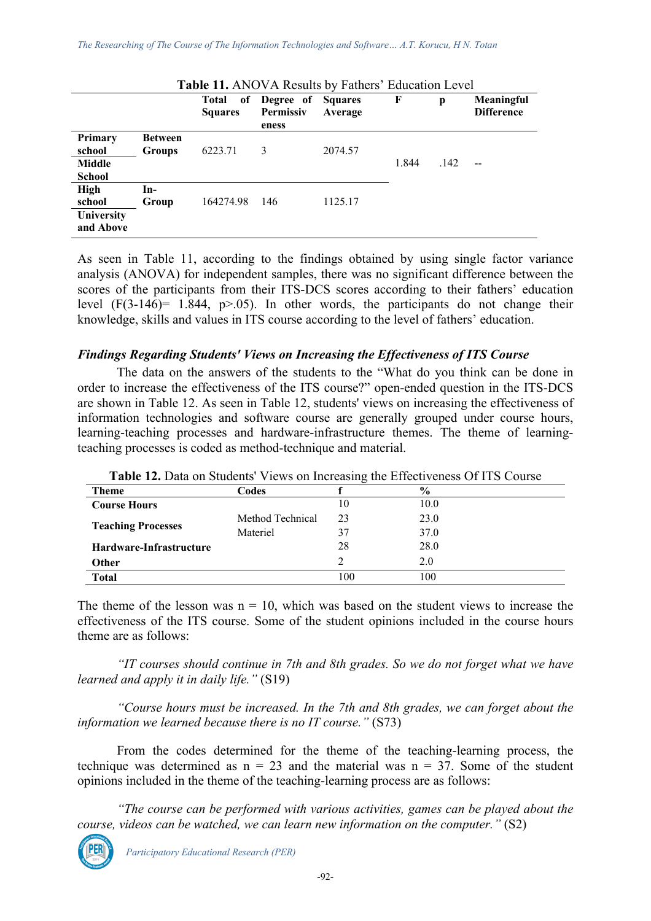|                                                  | Table 11. ANOVA Results by Fathers' Education Level |                         |                                                   |         |       |      |                                 |  |  |
|--------------------------------------------------|-----------------------------------------------------|-------------------------|---------------------------------------------------|---------|-------|------|---------------------------------|--|--|
|                                                  |                                                     | Total<br><b>Squares</b> | of Degree of Squares<br><b>Permissiv</b><br>eness | Average | F     | p    | Meaningful<br><b>Difference</b> |  |  |
| Primary<br>school<br>Middle<br><b>School</b>     | <b>Between</b><br><b>Groups</b>                     | 6223.71                 | 3                                                 | 2074.57 | 1.844 | .142 |                                 |  |  |
| <b>High</b><br>school<br>University<br>and Above | $In-$<br>Group                                      | 164274.98               | 146                                               | 1125.17 |       |      |                                 |  |  |

As seen in Table 11, according to the findings obtained by using single factor variance analysis (ANOVA) for independent samples, there was no significant difference between the scores of the participants from their ITS-DCS scores according to their fathers' education level  $(F(3-146) = 1.844, p > 0.05)$ . In other words, the participants do not change their knowledge, skills and values in ITS course according to the level of fathers' education.

#### *Findings Regarding Students' Views on Increasing the Effectiveness of ITS Course*

The data on the answers of the students to the "What do you think can be done in order to increase the effectiveness of the ITS course?" open-ended question in the ITS-DCS are shown in Table 12. As seen in Table 12, students' views on increasing the effectiveness of information technologies and software course are generally grouped under course hours, learning-teaching processes and hardware-infrastructure themes. The theme of learningteaching processes is coded as method-technique and material.

| <b>Table 12.</b> Data on Students wiews on increasing the Effectiveness Of 115 Course |                  |     |               |
|---------------------------------------------------------------------------------------|------------------|-----|---------------|
| <b>Theme</b>                                                                          | Codes            |     | $\frac{6}{6}$ |
| <b>Course Hours</b>                                                                   |                  | 10  | 10.0          |
| <b>Teaching Processes</b>                                                             | Method Technical | 23  | 23.0          |
|                                                                                       | Materiel         | 37  | 37.0          |
| Hardware-Infrastructure                                                               |                  | 28  | 28.0          |
| <b>Other</b>                                                                          |                  |     | 2.0           |
| <b>Total</b>                                                                          |                  | 100 | 100           |

**Table 12.** Data on Students' Views on Increasing the Effectiveness Of ITS Course

The theme of the lesson was  $n = 10$ , which was based on the student views to increase the effectiveness of the ITS course. Some of the student opinions included in the course hours theme are as follows:

*"IT courses should continue in 7th and 8th grades. So we do not forget what we have learned and apply it in daily life."* (S19)

*"Course hours must be increased. In the 7th and 8th grades, we can forget about the information we learned because there is no IT course."* (S73)

From the codes determined for the theme of the teaching-learning process, the technique was determined as  $n = 23$  and the material was  $n = 37$ . Some of the student opinions included in the theme of the teaching-learning process are as follows:

*"The course can be performed with various activities, games can be played about the course, videos can be watched, we can learn new information on the computer."* (S2)

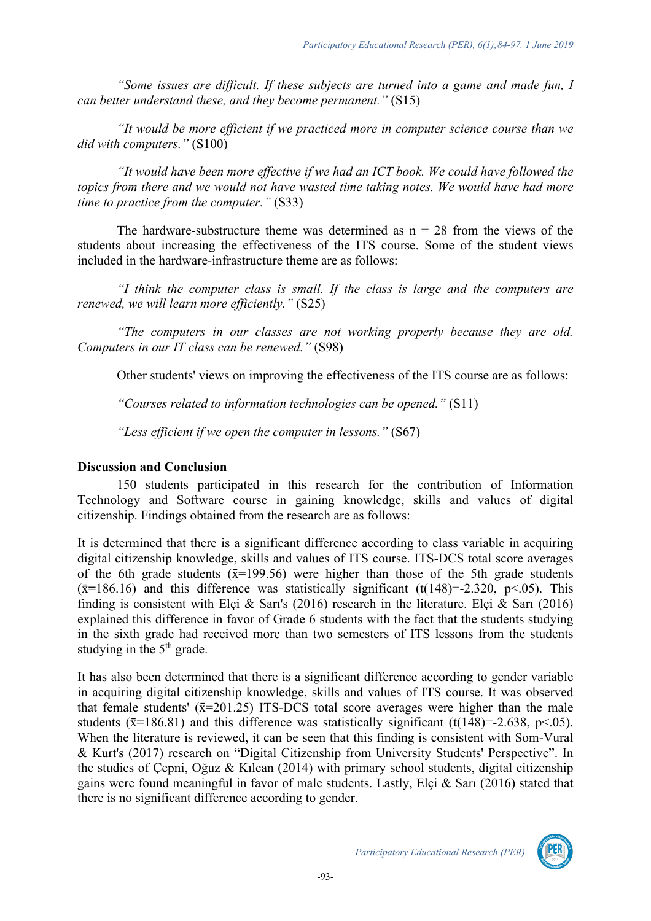*"Some issues are difficult. If these subjects are turned into a game and made fun, I can better understand these, and they become permanent."* (S15)

*"It would be more efficient if we practiced more in computer science course than we did with computers."* (S100)

*"It would have been more effective if we had an ICT book. We could have followed the topics from there and we would not have wasted time taking notes. We would have had more time to practice from the computer."* (S33)

The hardware-substructure theme was determined as  $n = 28$  from the views of the students about increasing the effectiveness of the ITS course. Some of the student views included in the hardware-infrastructure theme are as follows:

*"I think the computer class is small. If the class is large and the computers are renewed, we will learn more efficiently."* (S25)

*"The computers in our classes are not working properly because they are old. Computers in our IT class can be renewed."* (S98)

Other students' views on improving the effectiveness of the ITS course are as follows:

*"Courses related to information technologies can be opened."* (S11)

*"Less efficient if we open the computer in lessons."* (S67)

## **Discussion and Conclusion**

150 students participated in this research for the contribution of Information Technology and Software course in gaining knowledge, skills and values of digital citizenship. Findings obtained from the research are as follows:

It is determined that there is a significant difference according to class variable in acquiring digital citizenship knowledge, skills and values of ITS course. ITS-DCS total score averages of the 6th grade students  $(\bar{x}=199.56)$  were higher than those of the 5th grade students  $(\bar{x}=186.16)$  and this difference was statistically significant (t(148)=-2.320, p<.05). This finding is consistent with Elçi & Sarı's (2016) research in the literature. Elçi & Sarı (2016) explained this difference in favor of Grade 6 students with the fact that the students studying in the sixth grade had received more than two semesters of ITS lessons from the students studying in the  $5<sup>th</sup>$  grade.

It has also been determined that there is a significant difference according to gender variable in acquiring digital citizenship knowledge, skills and values of ITS course. It was observed that female students'  $(\bar{x}=201.25)$  ITS-DCS total score averages were higher than the male students ( $\bar{x}$ =186.81) and this difference was statistically significant (t(148)=-2.638, p<.05). When the literature is reviewed, it can be seen that this finding is consistent with Som-Vural & Kurt's (2017) research on "Digital Citizenship from University Students' Perspective". In the studies of Çepni, Oğuz & Kılcan (2014) with primary school students, digital citizenship gains were found meaningful in favor of male students. Lastly, Elçi & Sarı (2016) stated that there is no significant difference according to gender.

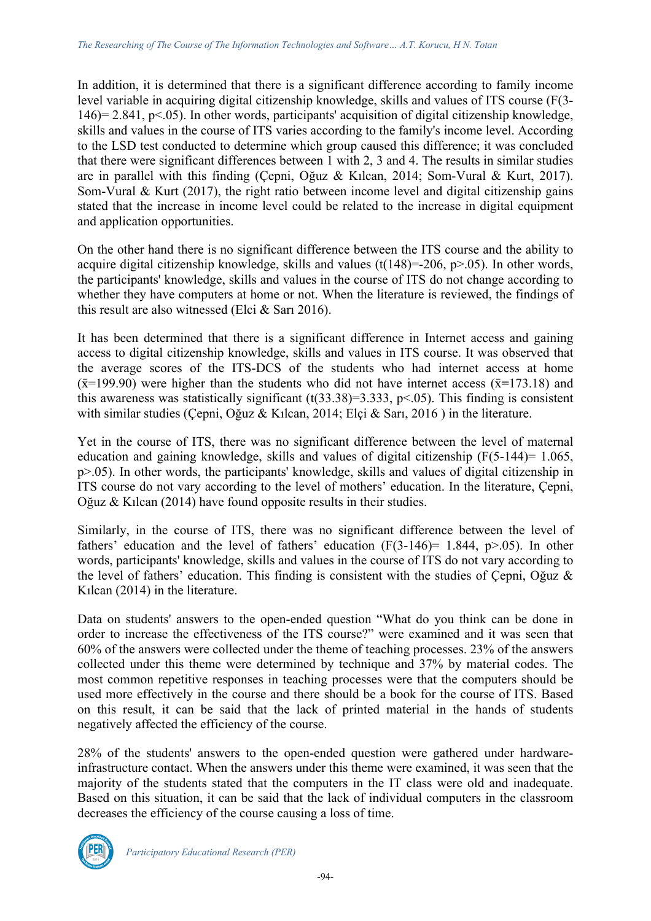In addition, it is determined that there is a significant difference according to family income level variable in acquiring digital citizenship knowledge, skills and values of ITS course (F(3- 146)= 2.841, p<.05). In other words, participants' acquisition of digital citizenship knowledge, skills and values in the course of ITS varies according to the family's income level. According to the LSD test conducted to determine which group caused this difference; it was concluded that there were significant differences between 1 with 2, 3 and 4. The results in similar studies are in parallel with this finding (Çepni, Oğuz & Kılcan, 2014; Som-Vural & Kurt, 2017). Som-Vural & Kurt (2017), the right ratio between income level and digital citizenship gains stated that the increase in income level could be related to the increase in digital equipment and application opportunities.

On the other hand there is no significant difference between the ITS course and the ability to acquire digital citizenship knowledge, skills and values (t( $148$ )=-206, p>.05). In other words, the participants' knowledge, skills and values in the course of ITS do not change according to whether they have computers at home or not. When the literature is reviewed, the findings of this result are also witnessed (Elci & Sarı 2016).

It has been determined that there is a significant difference in Internet access and gaining access to digital citizenship knowledge, skills and values in ITS course. It was observed that the average scores of the ITS-DCS of the students who had internet access at home  $(\bar{x}=199.90)$  were higher than the students who did not have internet access  $(\bar{x}=173.18)$  and this awareness was statistically significant  $(t(33.38)=3.333, p<.05)$ . This finding is consistent with similar studies (Çepni, Oğuz & Kılcan, 2014; Elçi & Sarı, 2016) in the literature.

Yet in the course of ITS, there was no significant difference between the level of maternal education and gaining knowledge, skills and values of digital citizenship  $(F(5-144)=1.065)$ , p>.05). In other words, the participants' knowledge, skills and values of digital citizenship in ITS course do not vary according to the level of mothers' education. In the literature, Çepni, Oğuz & Kılcan (2014) have found opposite results in their studies.

Similarly, in the course of ITS, there was no significant difference between the level of fathers' education and the level of fathers' education  $(F(3-146)= 1.844, p>0.05)$ . In other words, participants' knowledge, skills and values in the course of ITS do not vary according to the level of fathers' education. This finding is consistent with the studies of Çepni, Oğuz & Kılcan (2014) in the literature.

Data on students' answers to the open-ended question "What do you think can be done in order to increase the effectiveness of the ITS course?" were examined and it was seen that 60% of the answers were collected under the theme of teaching processes. 23% of the answers collected under this theme were determined by technique and 37% by material codes. The most common repetitive responses in teaching processes were that the computers should be used more effectively in the course and there should be a book for the course of ITS. Based on this result, it can be said that the lack of printed material in the hands of students negatively affected the efficiency of the course.

28% of the students' answers to the open-ended question were gathered under hardwareinfrastructure contact. When the answers under this theme were examined, it was seen that the majority of the students stated that the computers in the IT class were old and inadequate. Based on this situation, it can be said that the lack of individual computers in the classroom decreases the efficiency of the course causing a loss of time.

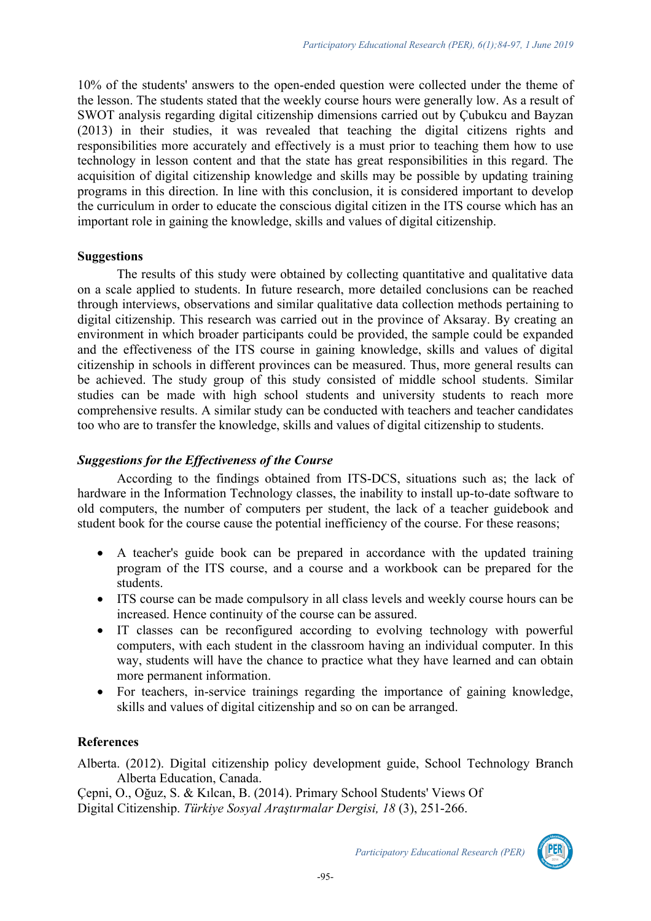10% of the students' answers to the open-ended question were collected under the theme of the lesson. The students stated that the weekly course hours were generally low. As a result of SWOT analysis regarding digital citizenship dimensions carried out by Çubukcu and Bayzan (2013) in their studies, it was revealed that teaching the digital citizens rights and responsibilities more accurately and effectively is a must prior to teaching them how to use technology in lesson content and that the state has great responsibilities in this regard. The acquisition of digital citizenship knowledge and skills may be possible by updating training programs in this direction. In line with this conclusion, it is considered important to develop the curriculum in order to educate the conscious digital citizen in the ITS course which has an important role in gaining the knowledge, skills and values of digital citizenship.

#### **Suggestions**

The results of this study were obtained by collecting quantitative and qualitative data on a scale applied to students. In future research, more detailed conclusions can be reached through interviews, observations and similar qualitative data collection methods pertaining to digital citizenship. This research was carried out in the province of Aksaray. By creating an environment in which broader participants could be provided, the sample could be expanded and the effectiveness of the ITS course in gaining knowledge, skills and values of digital citizenship in schools in different provinces can be measured. Thus, more general results can be achieved. The study group of this study consisted of middle school students. Similar studies can be made with high school students and university students to reach more comprehensive results. A similar study can be conducted with teachers and teacher candidates too who are to transfer the knowledge, skills and values of digital citizenship to students.

## *Suggestions for the Effectiveness of the Course*

According to the findings obtained from ITS-DCS, situations such as; the lack of hardware in the Information Technology classes, the inability to install up-to-date software to old computers, the number of computers per student, the lack of a teacher guidebook and student book for the course cause the potential inefficiency of the course. For these reasons;

- A teacher's guide book can be prepared in accordance with the updated training program of the ITS course, and a course and a workbook can be prepared for the students.
- ITS course can be made compulsory in all class levels and weekly course hours can be increased. Hence continuity of the course can be assured.
- IT classes can be reconfigured according to evolving technology with powerful computers, with each student in the classroom having an individual computer. In this way, students will have the chance to practice what they have learned and can obtain more permanent information.
- For teachers, in-service trainings regarding the importance of gaining knowledge, skills and values of digital citizenship and so on can be arranged.

#### **References**

Alberta. (2012). Digital citizenship policy development guide, School Technology Branch Alberta Education, Canada.

Çepni, O., Oğuz, S. & Kılcan, B. (2014). Primary School Students' Views Of Digital Citizenship. *Türkiye Sosyal Araştırmalar Dergisi, 18* (3), 251-266.

*Participatory Educational Research (PER)*

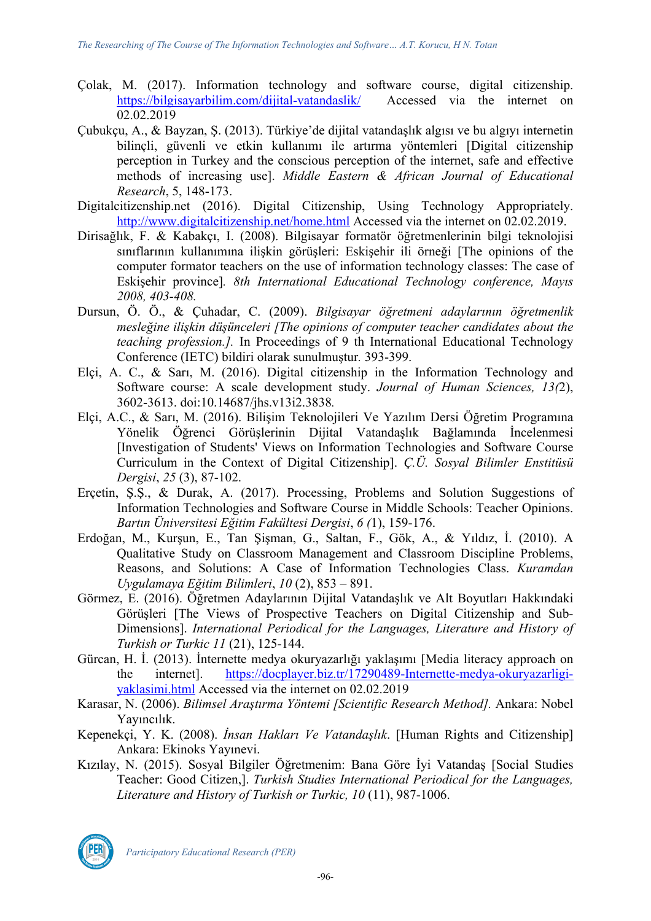- Çolak, M. (2017). Information technology and software course, digital citizenship. https://bilgisayarbilim.com/dijital-vatandaslik/ Accessed via the internet on 02.02.2019
- Çubukçu, A., & Bayzan, Ş. (2013). Türkiye'de dijital vatandaşlık algısı ve bu algıyı internetin bilinçli, güvenli ve etkin kullanımı ile artırma yöntemleri [Digital citizenship perception in Turkey and the conscious perception of the internet, safe and effective methods of increasing use]. *Middle Eastern & African Journal of Educational Research*, 5, 148-173.
- Digitalcitizenship.net (2016). Digital Citizenship, Using Technology Appropriately. http://www.digitalcitizenship.net/home.html Accessed via the internet on 02.02.2019.
- Dirisağlık, F. & Kabakçı, I. (2008). Bilgisayar formatör öğretmenlerinin bilgi teknolojisi sınıflarının kullanımına ilişkin görüşleri: Eskişehir ili örneği [The opinions of the computer formator teachers on the use of information technology classes: The case of Eskişehir province]*. 8th International Educational Technology conference, Mayıs 2008, 403-408.*
- Dursun, Ö. Ö., & Çuhadar, C. (2009). *Bilgisayar öğretmeni adaylarının öğretmenlik mesleğine ilişkin düşünceleri [The opinions of computer teacher candidates about the teaching profession.].* In Proceedings of 9 th International Educational Technology Conference (IETC) bildiri olarak sunulmuştur*.* 393-399.
- Elçi, A. C., & Sarı, M. (2016). Digital citizenship in the Information Technology and Software course: A scale development study. *Journal of Human Sciences, 13(*2), 3602-3613. doi:10.14687/jhs.v13i2.3838*.*
- Elçi, A.C., & Sarı, M. (2016). Bilişim Teknolojileri Ve Yazılım Dersi Öğretim Programına Yönelik Öğrenci Görüşlerinin Dijital Vatandaşlık Bağlamında İncelenmesi [Investigation of Students' Views on Information Technologies and Software Course Curriculum in the Context of Digital Citizenship]. *Ç.Ü. Sosyal Bilimler Enstitüsü Dergisi*, *25* (3), 87-102.
- Erçetin, Ş.Ş., & Durak, A. (2017). Processing, Problems and Solution Suggestions of Information Technologies and Software Course in Middle Schools: Teacher Opinions. *Bartın Üniversitesi Eğitim Fakültesi Dergisi*, *6 (*1), 159-176.
- Erdoğan, M., Kurşun, E., Tan Şişman, G., Saltan, F., Gök, A., & Yıldız, İ. (2010). A Qualitative Study on Classroom Management and Classroom Discipline Problems, Reasons, and Solutions: A Case of Information Technologies Class. *Kuramdan Uygulamaya Eğitim Bilimleri*, *10* (2), 853 – 891.
- Görmez, E. (2016). Öğretmen Adaylarının Dijital Vatandaşlık ve Alt Boyutları Hakkındaki Görüşleri [The Views of Prospective Teachers on Digital Citizenship and Sub-Dimensions]. *International Periodical for the Languages, Literature and History of Turkish or Turkic 11* (21), 125-144.
- Gürcan, H. İ. (2013). İnternette medya okuryazarlığı yaklaşımı [Media literacy approach on the internet]. https://docplayer.biz.tr/17290489-Internette-medya-okuryazarligiyaklasimi.html Accessed via the internet on 02.02.2019
- Karasar, N. (2006). *Bilimsel Araştırma Yöntemi [Scientific Research Method].* Ankara: Nobel Yayıncılık.
- Kepenekçi, Y. K. (2008). *İnsan Hakları Ve Vatandaşlık*. [Human Rights and Citizenship] Ankara: Ekinoks Yayınevi.
- Kızılay, N. (2015). Sosyal Bilgiler Öğretmenim: Bana Göre İyi Vatandaş [Social Studies Teacher: Good Citizen,]. *Turkish Studies International Periodical for the Languages, Literature and History of Turkish or Turkic, 10* (11), 987-1006.



*Participatory Educational Research (PER)*